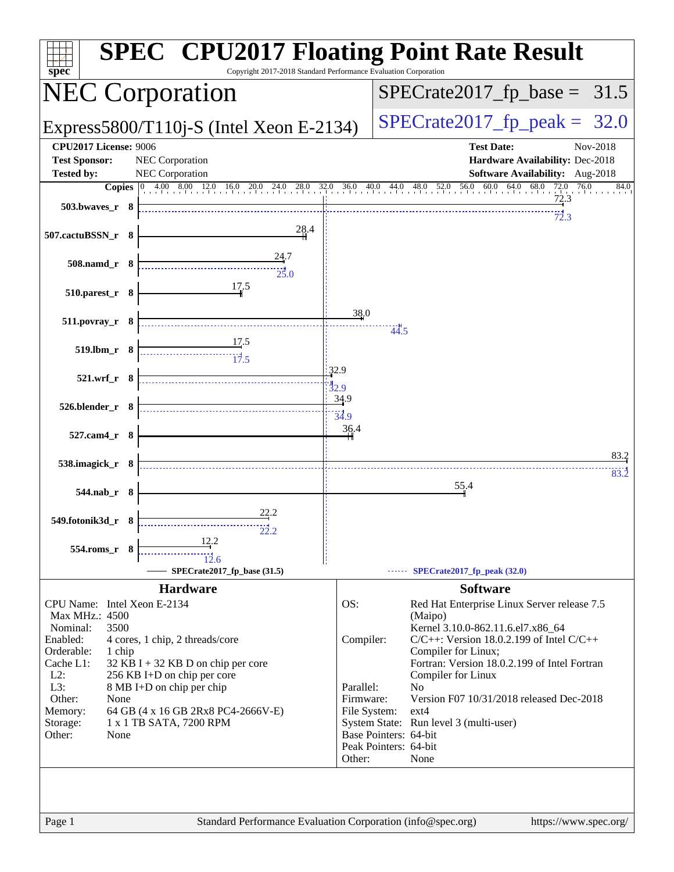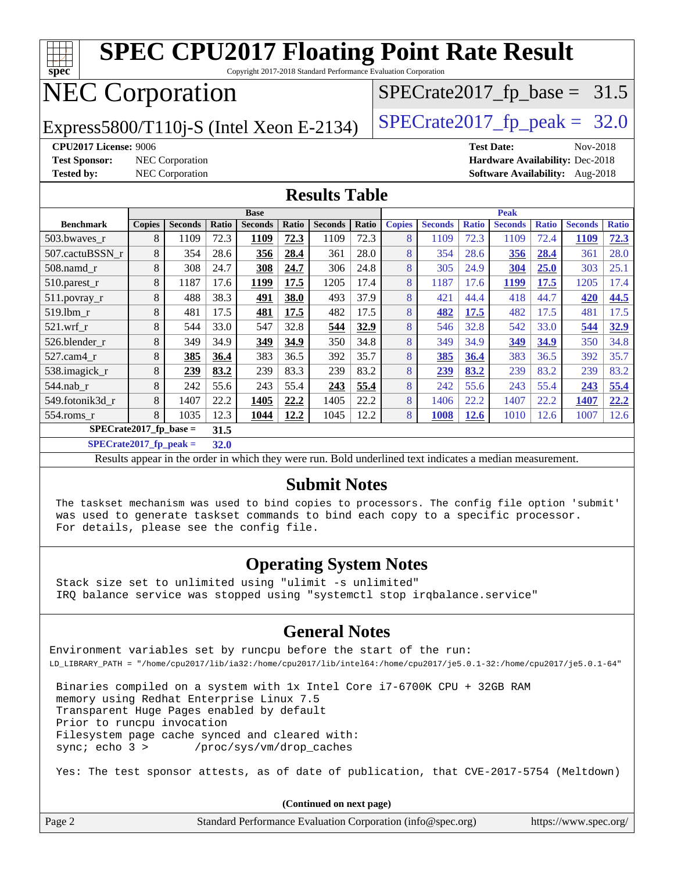| <b>SPEC CPU2017 Floating Point Rate Result</b><br>Copyright 2017-2018 Standard Performance Evaluation Corporation<br>spec       |                                                    |                        |       |                |       |                |       |               |                |              |                |              |                                        |              |
|---------------------------------------------------------------------------------------------------------------------------------|----------------------------------------------------|------------------------|-------|----------------|-------|----------------|-------|---------------|----------------|--------------|----------------|--------------|----------------------------------------|--------------|
|                                                                                                                                 |                                                    |                        |       |                |       |                |       |               |                |              |                |              |                                        |              |
| <b>NEC Corporation</b><br>$SPECrate2017_fp\_base = 31.5$                                                                        |                                                    |                        |       |                |       |                |       |               |                |              |                |              |                                        |              |
| $SPECTate2017$ _fp_peak = 32.0<br>Express5800/T110 $i$ -S (Intel Xeon E-2134)                                                   |                                                    |                        |       |                |       |                |       |               |                |              |                |              |                                        |              |
| <b>CPU2017 License: 9006</b><br><b>Test Date:</b><br>Nov-2018                                                                   |                                                    |                        |       |                |       |                |       |               |                |              |                |              |                                        |              |
| <b>Test Sponsor:</b>                                                                                                            | NEC Corporation<br>Hardware Availability: Dec-2018 |                        |       |                |       |                |       |               |                |              |                |              |                                        |              |
| <b>Tested by:</b>                                                                                                               |                                                    | <b>NEC Corporation</b> |       |                |       |                |       |               |                |              |                |              | <b>Software Availability:</b> Aug-2018 |              |
| <b>Results Table</b>                                                                                                            |                                                    |                        |       |                |       |                |       |               |                |              |                |              |                                        |              |
| <b>Peak</b><br><b>Base</b>                                                                                                      |                                                    |                        |       |                |       |                |       |               |                |              |                |              |                                        |              |
| <b>Benchmark</b>                                                                                                                | <b>Copies</b>                                      | <b>Seconds</b>         | Ratio | <b>Seconds</b> | Ratio | <b>Seconds</b> | Ratio | <b>Copies</b> | <b>Seconds</b> | <b>Ratio</b> | <b>Seconds</b> | <b>Ratio</b> | <b>Seconds</b>                         | <b>Ratio</b> |
| 503.bwaves_r                                                                                                                    | 8                                                  | 1109                   | 72.3  | 1109           | 72.3  | 1109           | 72.3  | 8             | 1109           | 72.3         | 1109           | 72.4         | 1109                                   | 72.3         |
| 507.cactuBSSN r                                                                                                                 | 8                                                  | 354                    | 28.6  | 356            | 28.4  | 361            | 28.0  | 8             | 354            | 28.6         | 356            | 28.4         | 361                                    | 28.0         |
| 508.namd_r                                                                                                                      | 8                                                  | 308                    | 24.7  | 308            | 24.7  | 306            | 24.8  | 8             | 305            | 24.9         | 304            | 25.0         | 303                                    | 25.1         |
| 510.parest_r                                                                                                                    | 8                                                  | 1187                   | 17.6  | 1199           | 17.5  | 1205           | 17.4  | 8             | 1187           | 17.6         | 1199           | 17.5         | 1205                                   | 17.4         |
| 511.povray_r                                                                                                                    | 8                                                  | 488                    | 38.3  | 491            | 38.0  | 493            | 37.9  | 8             | 421            | 44.4         | 418            | 44.7         | 420                                    | 44.5         |
| 519.1bm_r                                                                                                                       | 8                                                  | 481                    | 17.5  | 481            | 17.5  | 482            | 17.5  | 8             | 482            | 17.5         | 482            | 17.5         | 481                                    | 17.5         |
| 521.wrf r                                                                                                                       | 8                                                  | 544                    | 33.0  | 547            | 32.8  | 544            | 32.9  | 8             | 546            | 32.8         | 542            | 33.0         | 544                                    | 32.9         |
| 526.blender_r                                                                                                                   | 8                                                  | 349                    | 34.9  | 349            | 34.9  | 350            | 34.8  | 8             | 349            | 34.9         | 349            | 34.9         | 350                                    | 34.8         |
| 527.cam4_r                                                                                                                      | 8                                                  | 385                    | 36.4  | 383            | 36.5  | 392            | 35.7  | 8             | 385            | 36.4         | 383            | 36.5         | 392                                    | 35.7         |
| 538.imagick_r                                                                                                                   | 8                                                  | 239                    | 83.2  | 239            | 83.3  | 239            | 83.2  | 8             | 239            | 83.2         | 239            | 83.2         | 239                                    | 83.2         |
| 544.nab r                                                                                                                       | 8                                                  | 242                    | 55.6  | 243            | 55.4  | 243            | 55.4  | 8             | 242            | 55.6         | 243            | 55.4         | 243                                    | 55.4         |
| 549.fotonik3d_r                                                                                                                 | 8                                                  | 1407                   | 22.2  | 1405           | 22.2  | 1405           | 22.2  | 8             | 1406           | 22.2         | 1407           | 22.2         | 1407                                   | 22.2         |
| 554.roms r                                                                                                                      | 8                                                  | 1035                   | 12.3  | 1044           | 12.2  | 1045           | 12.2  | 8             | 1008           | 12.6         | 1010           | 12.6         | 1007                                   | 12.6         |
| $SPECrate2017_fp\_base =$<br>31.5                                                                                               |                                                    |                        |       |                |       |                |       |               |                |              |                |              |                                        |              |
| $SPECrate2017$ _fp_peak =                                                                                                       |                                                    |                        | 32.0  |                |       |                |       |               |                |              |                |              |                                        |              |
|                                                                                                                                 |                                                    |                        |       |                |       |                |       |               |                |              |                |              |                                        |              |
| Results appear in the order in which they were run. Bold underlined text indicates a median measurement.<br><b>Submit Notes</b> |                                                    |                        |       |                |       |                |       |               |                |              |                |              |                                        |              |

 The taskset mechanism was used to bind copies to processors. The config file option 'submit' was used to generate taskset commands to bind each copy to a specific processor. For details, please see the config file.

#### **[Operating System Notes](http://www.spec.org/auto/cpu2017/Docs/result-fields.html#OperatingSystemNotes)**

 Stack size set to unlimited using "ulimit -s unlimited" IRQ balance service was stopped using "systemctl stop irqbalance.service"

#### **[General Notes](http://www.spec.org/auto/cpu2017/Docs/result-fields.html#GeneralNotes)**

Environment variables set by runcpu before the start of the run: LD\_LIBRARY\_PATH = "/home/cpu2017/lib/ia32:/home/cpu2017/lib/intel64:/home/cpu2017/je5.0.1-32:/home/cpu2017/je5.0.1-64"

 Binaries compiled on a system with 1x Intel Core i7-6700K CPU + 32GB RAM memory using Redhat Enterprise Linux 7.5 Transparent Huge Pages enabled by default Prior to runcpu invocation Filesystem page cache synced and cleared with: sync; echo 3 > /proc/sys/vm/drop\_caches

Yes: The test sponsor attests, as of date of publication, that CVE-2017-5754 (Meltdown)

|        | (Continued on next page)                                    |                       |
|--------|-------------------------------------------------------------|-----------------------|
| Page 2 | Standard Performance Evaluation Corporation (info@spec.org) | https://www.spec.org/ |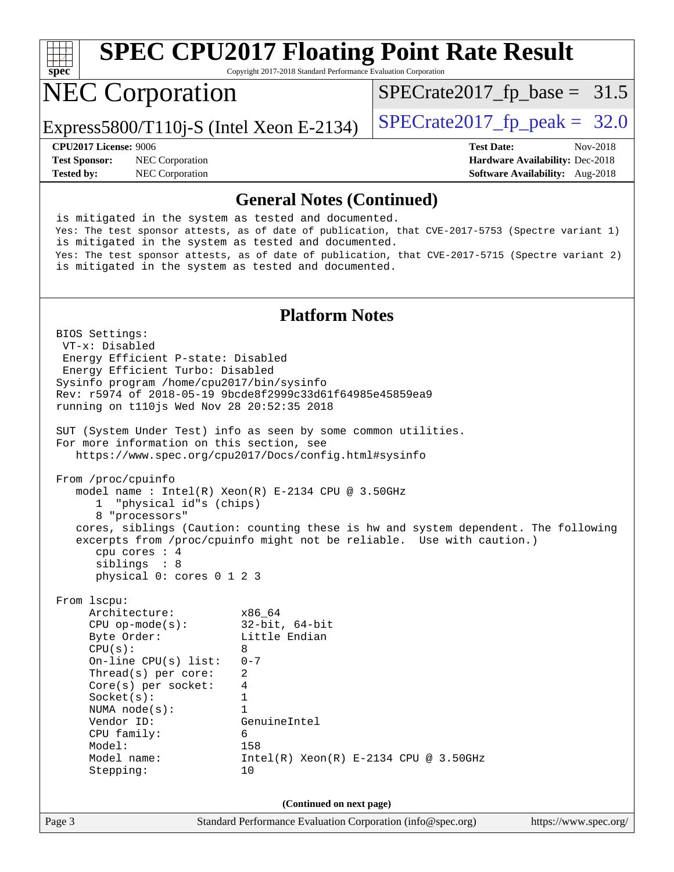

Copyright 2017-2018 Standard Performance Evaluation Corporation

## NEC Corporation

 $SPECTate2017_fp\_base = 31.5$ 

Express5800/T110j-S (Intel Xeon E-2134) [SPECrate2017\\_fp\\_peak =](http://www.spec.org/auto/cpu2017/Docs/result-fields.html#SPECrate2017fppeak)  $32.0$ 

**[Test Sponsor:](http://www.spec.org/auto/cpu2017/Docs/result-fields.html#TestSponsor)** NEC Corporation **[Hardware Availability:](http://www.spec.org/auto/cpu2017/Docs/result-fields.html#HardwareAvailability)** Dec-2018

**[CPU2017 License:](http://www.spec.org/auto/cpu2017/Docs/result-fields.html#CPU2017License)** 9006 **[Test Date:](http://www.spec.org/auto/cpu2017/Docs/result-fields.html#TestDate)** Nov-2018 **[Tested by:](http://www.spec.org/auto/cpu2017/Docs/result-fields.html#Testedby)** NEC Corporation **[Software Availability:](http://www.spec.org/auto/cpu2017/Docs/result-fields.html#SoftwareAvailability)** Aug-2018

#### **[General Notes \(Continued\)](http://www.spec.org/auto/cpu2017/Docs/result-fields.html#GeneralNotes)**

 is mitigated in the system as tested and documented. Yes: The test sponsor attests, as of date of publication, that CVE-2017-5753 (Spectre variant 1) is mitigated in the system as tested and documented. Yes: The test sponsor attests, as of date of publication, that CVE-2017-5715 (Spectre variant 2) is mitigated in the system as tested and documented.

#### **[Platform Notes](http://www.spec.org/auto/cpu2017/Docs/result-fields.html#PlatformNotes)**

Page 3 Standard Performance Evaluation Corporation [\(info@spec.org\)](mailto:info@spec.org) <https://www.spec.org/> BIOS Settings: VT-x: Disabled Energy Efficient P-state: Disabled Energy Efficient Turbo: Disabled Sysinfo program /home/cpu2017/bin/sysinfo Rev: r5974 of 2018-05-19 9bcde8f2999c33d61f64985e45859ea9 running on t110js Wed Nov 28 20:52:35 2018 SUT (System Under Test) info as seen by some common utilities. For more information on this section, see <https://www.spec.org/cpu2017/Docs/config.html#sysinfo> From /proc/cpuinfo model name : Intel(R) Xeon(R) E-2134 CPU @ 3.50GHz 1 "physical id"s (chips) 8 "processors" cores, siblings (Caution: counting these is hw and system dependent. The following excerpts from /proc/cpuinfo might not be reliable. Use with caution.) cpu cores : 4 siblings : 8 physical 0: cores 0 1 2 3 From lscpu: Architecture: x86\_64 CPU op-mode(s): 32-bit, 64-bit Little Endian  $CPU(s):$  8 On-line CPU(s) list: 0-7 Thread(s) per core: 2 Core(s) per socket: 4 Socket(s): 1 NUMA node(s): 1 Vendor ID: GenuineIntel CPU family: 6 Model: 158 Model name: Intel(R) Xeon(R) E-2134 CPU @ 3.50GHz Stepping: 10 **(Continued on next page)**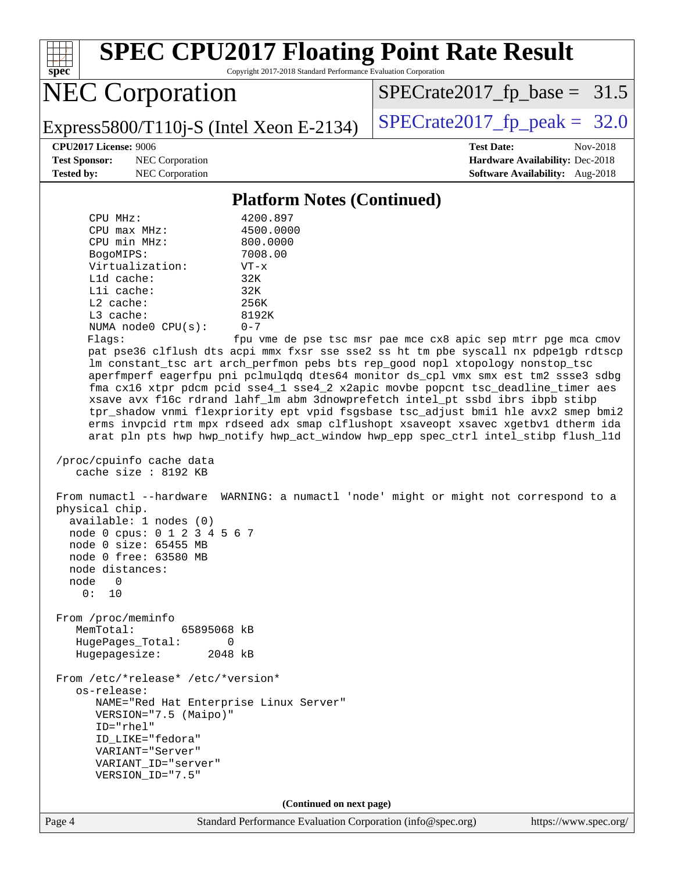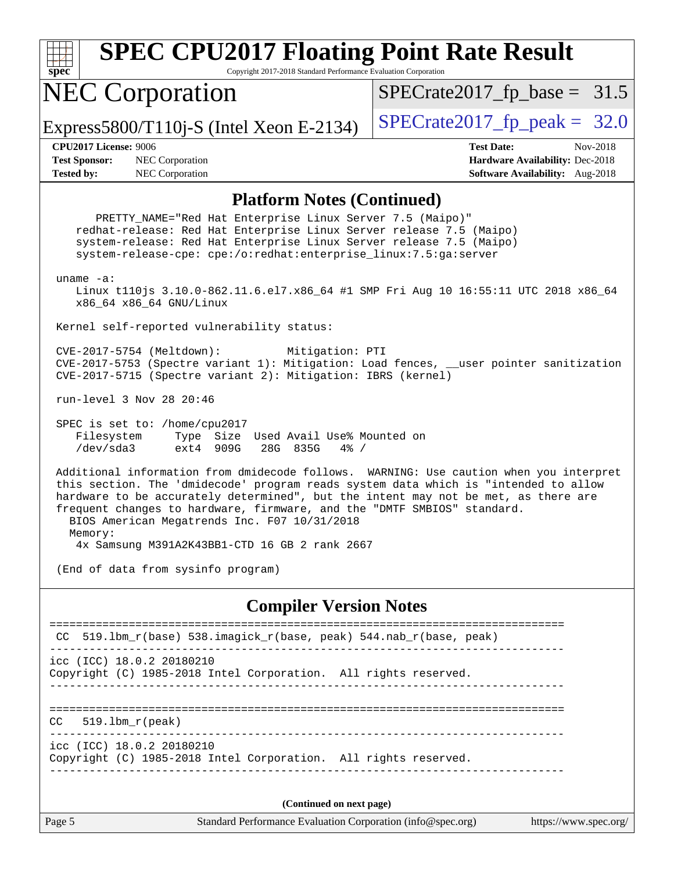| spec |  |  |  |  |  |  |
|------|--|--|--|--|--|--|

Copyright 2017-2018 Standard Performance Evaluation Corporation

# NEC Corporation

 $SPECTate2017_fp\_base = 31.5$ 

Express5800/T110j-S (Intel Xeon E-2134)  $\left|$  [SPECrate2017\\_fp\\_peak =](http://www.spec.org/auto/cpu2017/Docs/result-fields.html#SPECrate2017fppeak) 32.0

**[Test Sponsor:](http://www.spec.org/auto/cpu2017/Docs/result-fields.html#TestSponsor)** NEC Corporation **[Hardware Availability:](http://www.spec.org/auto/cpu2017/Docs/result-fields.html#HardwareAvailability)** Dec-2018 **[Tested by:](http://www.spec.org/auto/cpu2017/Docs/result-fields.html#Testedby)** NEC Corporation **[Software Availability:](http://www.spec.org/auto/cpu2017/Docs/result-fields.html#SoftwareAvailability)** Aug-2018

**[CPU2017 License:](http://www.spec.org/auto/cpu2017/Docs/result-fields.html#CPU2017License)** 9006 **[Test Date:](http://www.spec.org/auto/cpu2017/Docs/result-fields.html#TestDate)** Nov-2018

#### **[Platform Notes \(Continued\)](http://www.spec.org/auto/cpu2017/Docs/result-fields.html#PlatformNotes)**

Page 5 Standard Performance Evaluation Corporation [\(info@spec.org\)](mailto:info@spec.org) <https://www.spec.org/> PRETTY\_NAME="Red Hat Enterprise Linux Server 7.5 (Maipo)" redhat-release: Red Hat Enterprise Linux Server release 7.5 (Maipo) system-release: Red Hat Enterprise Linux Server release 7.5 (Maipo) system-release-cpe: cpe:/o:redhat:enterprise\_linux:7.5:ga:server uname -a: Linux t110js 3.10.0-862.11.6.el7.x86\_64 #1 SMP Fri Aug 10 16:55:11 UTC 2018 x86\_64 x86\_64 x86\_64 GNU/Linux Kernel self-reported vulnerability status: CVE-2017-5754 (Meltdown): Mitigation: PTI CVE-2017-5753 (Spectre variant 1): Mitigation: Load fences, \_\_user pointer sanitization CVE-2017-5715 (Spectre variant 2): Mitigation: IBRS (kernel) run-level 3 Nov 28 20:46 SPEC is set to: /home/cpu2017 Filesystem Type Size Used Avail Use% Mounted on /dev/sda3 ext4 909G 28G 835G 4% / Additional information from dmidecode follows. WARNING: Use caution when you interpret this section. The 'dmidecode' program reads system data which is "intended to allow hardware to be accurately determined", but the intent may not be met, as there are frequent changes to hardware, firmware, and the "DMTF SMBIOS" standard. BIOS American Megatrends Inc. F07 10/31/2018 Memory: 4x Samsung M391A2K43BB1-CTD 16 GB 2 rank 2667 (End of data from sysinfo program) **[Compiler Version Notes](http://www.spec.org/auto/cpu2017/Docs/result-fields.html#CompilerVersionNotes)** ============================================================================== CC 519.lbm\_r(base) 538.imagick\_r(base, peak) 544.nab\_r(base, peak) ----------------------------------------------------------------------------- icc (ICC) 18.0.2 20180210 Copyright (C) 1985-2018 Intel Corporation. All rights reserved. ------------------------------------------------------------------------------ ==============================================================================  $CC = 519.1bm_r(peak)$ ----------------------------------------------------------------------------- icc (ICC) 18.0.2 20180210 Copyright (C) 1985-2018 Intel Corporation. All rights reserved. ------------------------------------------------------------------------------ **(Continued on next page)**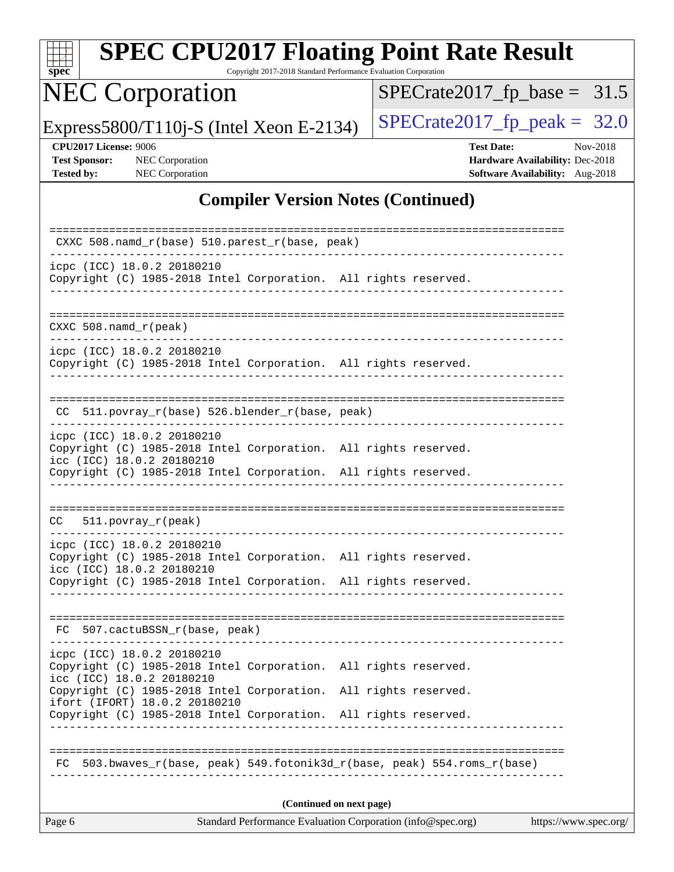| spec |  |  |  |  |  |  |
|------|--|--|--|--|--|--|

Copyright 2017-2018 Standard Performance Evaluation Corporation

## NEC Corporation

 $SPECrate2017_fp\_base = 31.5$ 

Express5800/T110j-S (Intel Xeon E-2134) [SPECrate2017\\_fp\\_peak =](http://www.spec.org/auto/cpu2017/Docs/result-fields.html#SPECrate2017fppeak)  $32.0$ 

**[CPU2017 License:](http://www.spec.org/auto/cpu2017/Docs/result-fields.html#CPU2017License)** 9006 **[Test Date:](http://www.spec.org/auto/cpu2017/Docs/result-fields.html#TestDate)** Nov-2018 **[Test Sponsor:](http://www.spec.org/auto/cpu2017/Docs/result-fields.html#TestSponsor)** NEC Corporation **[Hardware Availability:](http://www.spec.org/auto/cpu2017/Docs/result-fields.html#HardwareAvailability)** Dec-2018 **[Tested by:](http://www.spec.org/auto/cpu2017/Docs/result-fields.html#Testedby)** NEC Corporation **[Software Availability:](http://www.spec.org/auto/cpu2017/Docs/result-fields.html#SoftwareAvailability)** Aug-2018

#### **[Compiler Version Notes \(Continued\)](http://www.spec.org/auto/cpu2017/Docs/result-fields.html#CompilerVersionNotes)**

| CXXC 508.namd_r(base) 510.parest_r(base, peak)                                                                                                                                                |  |  |  |  |  |  |  |  |
|-----------------------------------------------------------------------------------------------------------------------------------------------------------------------------------------------|--|--|--|--|--|--|--|--|
| icpc (ICC) 18.0.2 20180210<br>Copyright (C) 1985-2018 Intel Corporation. All rights reserved.                                                                                                 |  |  |  |  |  |  |  |  |
| $CXXC 508.namd_r (peak)$                                                                                                                                                                      |  |  |  |  |  |  |  |  |
| icpc (ICC) 18.0.2 20180210<br>Copyright (C) 1985-2018 Intel Corporation. All rights reserved.                                                                                                 |  |  |  |  |  |  |  |  |
| 511.povray_r(base) 526.blender_r(base, peak)<br>CC.                                                                                                                                           |  |  |  |  |  |  |  |  |
| icpc (ICC) 18.0.2 20180210<br>Copyright (C) 1985-2018 Intel Corporation. All rights reserved.<br>icc (ICC) 18.0.2 20180210                                                                    |  |  |  |  |  |  |  |  |
| Copyright (C) 1985-2018 Intel Corporation. All rights reserved.                                                                                                                               |  |  |  |  |  |  |  |  |
| $511. povray_r (peak)$<br>CC                                                                                                                                                                  |  |  |  |  |  |  |  |  |
| icpc (ICC) 18.0.2 20180210<br>Copyright (C) 1985-2018 Intel Corporation. All rights reserved.<br>icc (ICC) 18.0.2 20180210<br>Copyright (C) 1985-2018 Intel Corporation. All rights reserved. |  |  |  |  |  |  |  |  |
|                                                                                                                                                                                               |  |  |  |  |  |  |  |  |
| FC 507.cactuBSSN_r(base, peak)                                                                                                                                                                |  |  |  |  |  |  |  |  |
| icpc (ICC) 18.0.2 20180210<br>Copyright (C) 1985-2018 Intel Corporation. All rights reserved.<br>icc (ICC) 18.0.2 20180210                                                                    |  |  |  |  |  |  |  |  |
| Copyright (C) 1985-2018 Intel Corporation. All rights reserved.<br>ifort (IFORT) 18.0.2 20180210<br>Copyright (C) 1985-2018 Intel Corporation. All rights reserved.                           |  |  |  |  |  |  |  |  |
|                                                                                                                                                                                               |  |  |  |  |  |  |  |  |
| 503.bwaves r(base, peak) 549.fotonik3d r(base, peak) 554.roms r(base)<br>FC                                                                                                                   |  |  |  |  |  |  |  |  |
| (Continued on next page)                                                                                                                                                                      |  |  |  |  |  |  |  |  |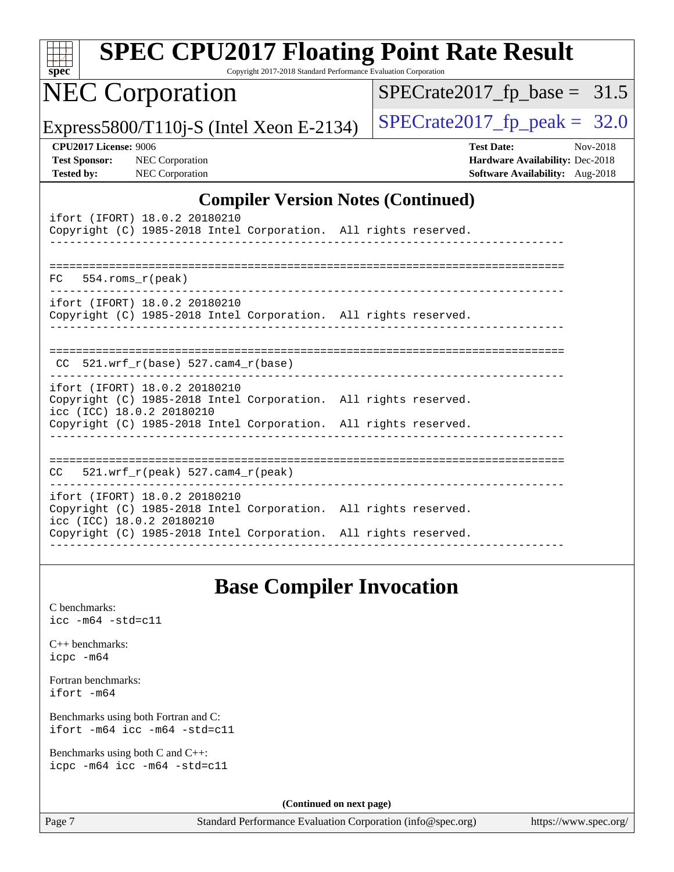| $spec^*$                                                                  | <b>SPEC CPU2017 Floating Point Rate Result</b>                                                                                                                                                   | Copyright 2017-2018 Standard Performance Evaluation Corporation |  |                                                                                                |          |
|---------------------------------------------------------------------------|--------------------------------------------------------------------------------------------------------------------------------------------------------------------------------------------------|-----------------------------------------------------------------|--|------------------------------------------------------------------------------------------------|----------|
|                                                                           | <b>NEC Corporation</b>                                                                                                                                                                           |                                                                 |  | $SPECrate2017_fp\_base = 31.5$                                                                 |          |
|                                                                           | Express5800/T110j-S (Intel Xeon E-2134)                                                                                                                                                          |                                                                 |  | $SPECrate2017fr peak =$                                                                        | 32.0     |
| <b>CPU2017 License: 9006</b><br><b>Test Sponsor:</b><br><b>Tested by:</b> | <b>NEC</b> Corporation<br><b>NEC Corporation</b>                                                                                                                                                 |                                                                 |  | <b>Test Date:</b><br>Hardware Availability: Dec-2018<br><b>Software Availability:</b> Aug-2018 | Nov-2018 |
|                                                                           |                                                                                                                                                                                                  | <b>Compiler Version Notes (Continued)</b>                       |  |                                                                                                |          |
|                                                                           | ifort (IFORT) 18.0.2 20180210<br>Copyright (C) 1985-2018 Intel Corporation. All rights reserved.                                                                                                 | _______________                                                 |  |                                                                                                |          |
| 554.roms_r(peak)<br>FC.                                                   |                                                                                                                                                                                                  |                                                                 |  |                                                                                                |          |
|                                                                           | ifort (IFORT) 18.0.2 20180210<br>Copyright (C) 1985-2018 Intel Corporation. All rights reserved.                                                                                                 |                                                                 |  |                                                                                                |          |
|                                                                           | $CC$ 521.wrf_r(base) 527.cam4_r(base)                                                                                                                                                            |                                                                 |  |                                                                                                |          |
|                                                                           | ifort (IFORT) 18.0.2 20180210<br>Copyright (C) 1985-2018 Intel Corporation. All rights reserved.<br>icc (ICC) 18.0.2 20180210<br>Copyright (C) 1985-2018 Intel Corporation. All rights reserved. |                                                                 |  |                                                                                                |          |
|                                                                           |                                                                                                                                                                                                  |                                                                 |  |                                                                                                |          |
|                                                                           | $CC$ 521.wrf_r(peak) 527.cam4_r(peak)                                                                                                                                                            |                                                                 |  |                                                                                                |          |
|                                                                           | ifort (IFORT) 18.0.2 20180210<br>Copyright (C) 1985-2018 Intel Corporation. All rights reserved.<br>icc (ICC) 18.0.2 20180210<br>Copyright (C) 1985-2018 Intel Corporation. All rights reserved. |                                                                 |  |                                                                                                |          |
|                                                                           |                                                                                                                                                                                                  |                                                                 |  |                                                                                                |          |
|                                                                           |                                                                                                                                                                                                  | <b>Base Compiler Invocation</b>                                 |  |                                                                                                |          |
| C benchmarks:<br>$\texttt{icc -m64 -std=cl1}$                             |                                                                                                                                                                                                  |                                                                 |  |                                                                                                |          |
| $C++$ benchmarks:<br>icpc -m64                                            |                                                                                                                                                                                                  |                                                                 |  |                                                                                                |          |
| Fortran benchmarks:<br>ifort -m64                                         |                                                                                                                                                                                                  |                                                                 |  |                                                                                                |          |
|                                                                           | Benchmarks using both Fortran and C:<br>ifort -m64 icc -m64 -std=c11                                                                                                                             |                                                                 |  |                                                                                                |          |
| Benchmarks using both C and C++:                                          | icpc -m64 icc -m64 -std=c11                                                                                                                                                                      |                                                                 |  |                                                                                                |          |

**(Continued on next page)**

Page 7 Standard Performance Evaluation Corporation [\(info@spec.org\)](mailto:info@spec.org) <https://www.spec.org/>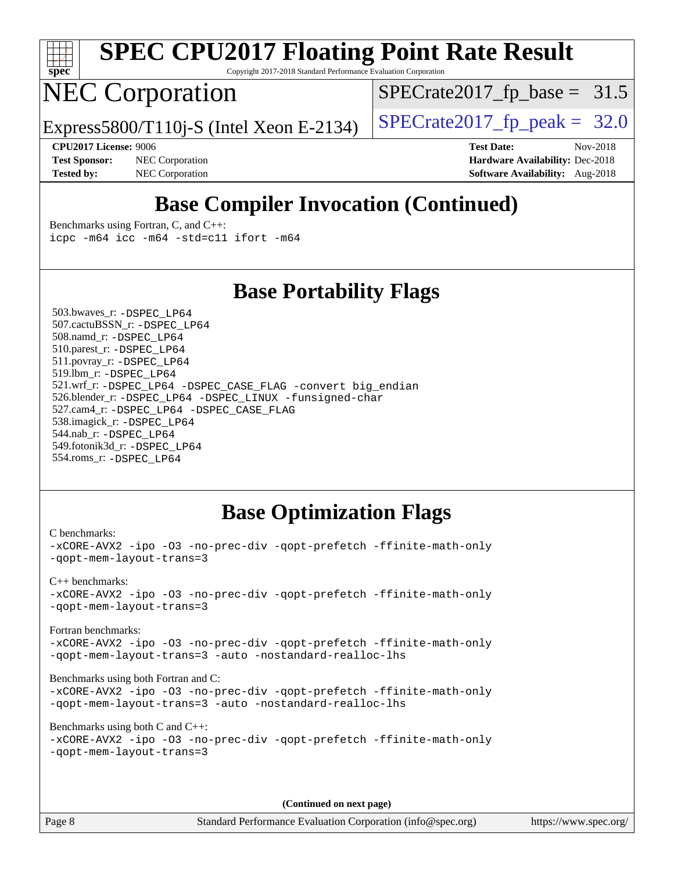

Copyright 2017-2018 Standard Performance Evaluation Corporation

## NEC Corporation

 $SPECTate2017_fp\_base = 31.5$ 

Express5800/T110j-S (Intel Xeon E-2134)  $\vert$  [SPECrate2017\\_fp\\_peak =](http://www.spec.org/auto/cpu2017/Docs/result-fields.html#SPECrate2017fppeak) 32.0

**[CPU2017 License:](http://www.spec.org/auto/cpu2017/Docs/result-fields.html#CPU2017License)** 9006 **[Test Date:](http://www.spec.org/auto/cpu2017/Docs/result-fields.html#TestDate)** Nov-2018 **[Test Sponsor:](http://www.spec.org/auto/cpu2017/Docs/result-fields.html#TestSponsor)** NEC Corporation **[Hardware Availability:](http://www.spec.org/auto/cpu2017/Docs/result-fields.html#HardwareAvailability)** Dec-2018 **[Tested by:](http://www.spec.org/auto/cpu2017/Docs/result-fields.html#Testedby)** NEC Corporation **[Software Availability:](http://www.spec.org/auto/cpu2017/Docs/result-fields.html#SoftwareAvailability)** Aug-2018

### **[Base Compiler Invocation \(Continued\)](http://www.spec.org/auto/cpu2017/Docs/result-fields.html#BaseCompilerInvocation)**

[Benchmarks using Fortran, C, and C++:](http://www.spec.org/auto/cpu2017/Docs/result-fields.html#BenchmarksusingFortranCandCXX) [icpc -m64](http://www.spec.org/cpu2017/results/res2018q4/cpu2017-20181210-10015.flags.html#user_CC_CXX_FCbase_intel_icpc_64bit_4ecb2543ae3f1412ef961e0650ca070fec7b7afdcd6ed48761b84423119d1bf6bdf5cad15b44d48e7256388bc77273b966e5eb805aefd121eb22e9299b2ec9d9) [icc -m64 -std=c11](http://www.spec.org/cpu2017/results/res2018q4/cpu2017-20181210-10015.flags.html#user_CC_CXX_FCbase_intel_icc_64bit_c11_33ee0cdaae7deeeab2a9725423ba97205ce30f63b9926c2519791662299b76a0318f32ddfffdc46587804de3178b4f9328c46fa7c2b0cd779d7a61945c91cd35) [ifort -m64](http://www.spec.org/cpu2017/results/res2018q4/cpu2017-20181210-10015.flags.html#user_CC_CXX_FCbase_intel_ifort_64bit_24f2bb282fbaeffd6157abe4f878425411749daecae9a33200eee2bee2fe76f3b89351d69a8130dd5949958ce389cf37ff59a95e7a40d588e8d3a57e0c3fd751)

#### **[Base Portability Flags](http://www.spec.org/auto/cpu2017/Docs/result-fields.html#BasePortabilityFlags)**

 503.bwaves\_r: [-DSPEC\\_LP64](http://www.spec.org/cpu2017/results/res2018q4/cpu2017-20181210-10015.flags.html#suite_basePORTABILITY503_bwaves_r_DSPEC_LP64) 507.cactuBSSN\_r: [-DSPEC\\_LP64](http://www.spec.org/cpu2017/results/res2018q4/cpu2017-20181210-10015.flags.html#suite_basePORTABILITY507_cactuBSSN_r_DSPEC_LP64) 508.namd\_r: [-DSPEC\\_LP64](http://www.spec.org/cpu2017/results/res2018q4/cpu2017-20181210-10015.flags.html#suite_basePORTABILITY508_namd_r_DSPEC_LP64) 510.parest\_r: [-DSPEC\\_LP64](http://www.spec.org/cpu2017/results/res2018q4/cpu2017-20181210-10015.flags.html#suite_basePORTABILITY510_parest_r_DSPEC_LP64) 511.povray\_r: [-DSPEC\\_LP64](http://www.spec.org/cpu2017/results/res2018q4/cpu2017-20181210-10015.flags.html#suite_basePORTABILITY511_povray_r_DSPEC_LP64) 519.lbm\_r: [-DSPEC\\_LP64](http://www.spec.org/cpu2017/results/res2018q4/cpu2017-20181210-10015.flags.html#suite_basePORTABILITY519_lbm_r_DSPEC_LP64) 521.wrf\_r: [-DSPEC\\_LP64](http://www.spec.org/cpu2017/results/res2018q4/cpu2017-20181210-10015.flags.html#suite_basePORTABILITY521_wrf_r_DSPEC_LP64) [-DSPEC\\_CASE\\_FLAG](http://www.spec.org/cpu2017/results/res2018q4/cpu2017-20181210-10015.flags.html#b521.wrf_r_baseCPORTABILITY_DSPEC_CASE_FLAG) [-convert big\\_endian](http://www.spec.org/cpu2017/results/res2018q4/cpu2017-20181210-10015.flags.html#user_baseFPORTABILITY521_wrf_r_convert_big_endian_c3194028bc08c63ac5d04de18c48ce6d347e4e562e8892b8bdbdc0214820426deb8554edfa529a3fb25a586e65a3d812c835984020483e7e73212c4d31a38223) 526.blender\_r: [-DSPEC\\_LP64](http://www.spec.org/cpu2017/results/res2018q4/cpu2017-20181210-10015.flags.html#suite_basePORTABILITY526_blender_r_DSPEC_LP64) [-DSPEC\\_LINUX](http://www.spec.org/cpu2017/results/res2018q4/cpu2017-20181210-10015.flags.html#b526.blender_r_baseCPORTABILITY_DSPEC_LINUX) [-funsigned-char](http://www.spec.org/cpu2017/results/res2018q4/cpu2017-20181210-10015.flags.html#user_baseCPORTABILITY526_blender_r_force_uchar_40c60f00ab013830e2dd6774aeded3ff59883ba5a1fc5fc14077f794d777847726e2a5858cbc7672e36e1b067e7e5c1d9a74f7176df07886a243d7cc18edfe67) 527.cam4\_r: [-DSPEC\\_LP64](http://www.spec.org/cpu2017/results/res2018q4/cpu2017-20181210-10015.flags.html#suite_basePORTABILITY527_cam4_r_DSPEC_LP64) [-DSPEC\\_CASE\\_FLAG](http://www.spec.org/cpu2017/results/res2018q4/cpu2017-20181210-10015.flags.html#b527.cam4_r_baseCPORTABILITY_DSPEC_CASE_FLAG) 538.imagick\_r: [-DSPEC\\_LP64](http://www.spec.org/cpu2017/results/res2018q4/cpu2017-20181210-10015.flags.html#suite_basePORTABILITY538_imagick_r_DSPEC_LP64) 544.nab\_r: [-DSPEC\\_LP64](http://www.spec.org/cpu2017/results/res2018q4/cpu2017-20181210-10015.flags.html#suite_basePORTABILITY544_nab_r_DSPEC_LP64) 549.fotonik3d\_r: [-DSPEC\\_LP64](http://www.spec.org/cpu2017/results/res2018q4/cpu2017-20181210-10015.flags.html#suite_basePORTABILITY549_fotonik3d_r_DSPEC_LP64) 554.roms\_r: [-DSPEC\\_LP64](http://www.spec.org/cpu2017/results/res2018q4/cpu2017-20181210-10015.flags.html#suite_basePORTABILITY554_roms_r_DSPEC_LP64)

#### **[Base Optimization Flags](http://www.spec.org/auto/cpu2017/Docs/result-fields.html#BaseOptimizationFlags)**

[C benchmarks](http://www.spec.org/auto/cpu2017/Docs/result-fields.html#Cbenchmarks): [-xCORE-AVX2](http://www.spec.org/cpu2017/results/res2018q4/cpu2017-20181210-10015.flags.html#user_CCbase_f-xCORE-AVX2) [-ipo](http://www.spec.org/cpu2017/results/res2018q4/cpu2017-20181210-10015.flags.html#user_CCbase_f-ipo) [-O3](http://www.spec.org/cpu2017/results/res2018q4/cpu2017-20181210-10015.flags.html#user_CCbase_f-O3) [-no-prec-div](http://www.spec.org/cpu2017/results/res2018q4/cpu2017-20181210-10015.flags.html#user_CCbase_f-no-prec-div) [-qopt-prefetch](http://www.spec.org/cpu2017/results/res2018q4/cpu2017-20181210-10015.flags.html#user_CCbase_f-qopt-prefetch) [-ffinite-math-only](http://www.spec.org/cpu2017/results/res2018q4/cpu2017-20181210-10015.flags.html#user_CCbase_f_finite_math_only_cb91587bd2077682c4b38af759c288ed7c732db004271a9512da14a4f8007909a5f1427ecbf1a0fb78ff2a814402c6114ac565ca162485bbcae155b5e4258871) [-qopt-mem-layout-trans=3](http://www.spec.org/cpu2017/results/res2018q4/cpu2017-20181210-10015.flags.html#user_CCbase_f-qopt-mem-layout-trans_de80db37974c74b1f0e20d883f0b675c88c3b01e9d123adea9b28688d64333345fb62bc4a798493513fdb68f60282f9a726aa07f478b2f7113531aecce732043) [C++ benchmarks:](http://www.spec.org/auto/cpu2017/Docs/result-fields.html#CXXbenchmarks) [-xCORE-AVX2](http://www.spec.org/cpu2017/results/res2018q4/cpu2017-20181210-10015.flags.html#user_CXXbase_f-xCORE-AVX2) [-ipo](http://www.spec.org/cpu2017/results/res2018q4/cpu2017-20181210-10015.flags.html#user_CXXbase_f-ipo) [-O3](http://www.spec.org/cpu2017/results/res2018q4/cpu2017-20181210-10015.flags.html#user_CXXbase_f-O3) [-no-prec-div](http://www.spec.org/cpu2017/results/res2018q4/cpu2017-20181210-10015.flags.html#user_CXXbase_f-no-prec-div) [-qopt-prefetch](http://www.spec.org/cpu2017/results/res2018q4/cpu2017-20181210-10015.flags.html#user_CXXbase_f-qopt-prefetch) [-ffinite-math-only](http://www.spec.org/cpu2017/results/res2018q4/cpu2017-20181210-10015.flags.html#user_CXXbase_f_finite_math_only_cb91587bd2077682c4b38af759c288ed7c732db004271a9512da14a4f8007909a5f1427ecbf1a0fb78ff2a814402c6114ac565ca162485bbcae155b5e4258871) [-qopt-mem-layout-trans=3](http://www.spec.org/cpu2017/results/res2018q4/cpu2017-20181210-10015.flags.html#user_CXXbase_f-qopt-mem-layout-trans_de80db37974c74b1f0e20d883f0b675c88c3b01e9d123adea9b28688d64333345fb62bc4a798493513fdb68f60282f9a726aa07f478b2f7113531aecce732043) [Fortran benchmarks](http://www.spec.org/auto/cpu2017/Docs/result-fields.html#Fortranbenchmarks): [-xCORE-AVX2](http://www.spec.org/cpu2017/results/res2018q4/cpu2017-20181210-10015.flags.html#user_FCbase_f-xCORE-AVX2) [-ipo](http://www.spec.org/cpu2017/results/res2018q4/cpu2017-20181210-10015.flags.html#user_FCbase_f-ipo) [-O3](http://www.spec.org/cpu2017/results/res2018q4/cpu2017-20181210-10015.flags.html#user_FCbase_f-O3) [-no-prec-div](http://www.spec.org/cpu2017/results/res2018q4/cpu2017-20181210-10015.flags.html#user_FCbase_f-no-prec-div) [-qopt-prefetch](http://www.spec.org/cpu2017/results/res2018q4/cpu2017-20181210-10015.flags.html#user_FCbase_f-qopt-prefetch) [-ffinite-math-only](http://www.spec.org/cpu2017/results/res2018q4/cpu2017-20181210-10015.flags.html#user_FCbase_f_finite_math_only_cb91587bd2077682c4b38af759c288ed7c732db004271a9512da14a4f8007909a5f1427ecbf1a0fb78ff2a814402c6114ac565ca162485bbcae155b5e4258871) [-qopt-mem-layout-trans=3](http://www.spec.org/cpu2017/results/res2018q4/cpu2017-20181210-10015.flags.html#user_FCbase_f-qopt-mem-layout-trans_de80db37974c74b1f0e20d883f0b675c88c3b01e9d123adea9b28688d64333345fb62bc4a798493513fdb68f60282f9a726aa07f478b2f7113531aecce732043) [-auto](http://www.spec.org/cpu2017/results/res2018q4/cpu2017-20181210-10015.flags.html#user_FCbase_f-auto) [-nostandard-realloc-lhs](http://www.spec.org/cpu2017/results/res2018q4/cpu2017-20181210-10015.flags.html#user_FCbase_f_2003_std_realloc_82b4557e90729c0f113870c07e44d33d6f5a304b4f63d4c15d2d0f1fab99f5daaed73bdb9275d9ae411527f28b936061aa8b9c8f2d63842963b95c9dd6426b8a) [Benchmarks using both Fortran and C](http://www.spec.org/auto/cpu2017/Docs/result-fields.html#BenchmarksusingbothFortranandC): [-xCORE-AVX2](http://www.spec.org/cpu2017/results/res2018q4/cpu2017-20181210-10015.flags.html#user_CC_FCbase_f-xCORE-AVX2) [-ipo](http://www.spec.org/cpu2017/results/res2018q4/cpu2017-20181210-10015.flags.html#user_CC_FCbase_f-ipo) [-O3](http://www.spec.org/cpu2017/results/res2018q4/cpu2017-20181210-10015.flags.html#user_CC_FCbase_f-O3) [-no-prec-div](http://www.spec.org/cpu2017/results/res2018q4/cpu2017-20181210-10015.flags.html#user_CC_FCbase_f-no-prec-div) [-qopt-prefetch](http://www.spec.org/cpu2017/results/res2018q4/cpu2017-20181210-10015.flags.html#user_CC_FCbase_f-qopt-prefetch) [-ffinite-math-only](http://www.spec.org/cpu2017/results/res2018q4/cpu2017-20181210-10015.flags.html#user_CC_FCbase_f_finite_math_only_cb91587bd2077682c4b38af759c288ed7c732db004271a9512da14a4f8007909a5f1427ecbf1a0fb78ff2a814402c6114ac565ca162485bbcae155b5e4258871) [-qopt-mem-layout-trans=3](http://www.spec.org/cpu2017/results/res2018q4/cpu2017-20181210-10015.flags.html#user_CC_FCbase_f-qopt-mem-layout-trans_de80db37974c74b1f0e20d883f0b675c88c3b01e9d123adea9b28688d64333345fb62bc4a798493513fdb68f60282f9a726aa07f478b2f7113531aecce732043) [-auto](http://www.spec.org/cpu2017/results/res2018q4/cpu2017-20181210-10015.flags.html#user_CC_FCbase_f-auto) [-nostandard-realloc-lhs](http://www.spec.org/cpu2017/results/res2018q4/cpu2017-20181210-10015.flags.html#user_CC_FCbase_f_2003_std_realloc_82b4557e90729c0f113870c07e44d33d6f5a304b4f63d4c15d2d0f1fab99f5daaed73bdb9275d9ae411527f28b936061aa8b9c8f2d63842963b95c9dd6426b8a) [Benchmarks using both C and C++](http://www.spec.org/auto/cpu2017/Docs/result-fields.html#BenchmarksusingbothCandCXX): [-xCORE-AVX2](http://www.spec.org/cpu2017/results/res2018q4/cpu2017-20181210-10015.flags.html#user_CC_CXXbase_f-xCORE-AVX2) [-ipo](http://www.spec.org/cpu2017/results/res2018q4/cpu2017-20181210-10015.flags.html#user_CC_CXXbase_f-ipo) [-O3](http://www.spec.org/cpu2017/results/res2018q4/cpu2017-20181210-10015.flags.html#user_CC_CXXbase_f-O3) [-no-prec-div](http://www.spec.org/cpu2017/results/res2018q4/cpu2017-20181210-10015.flags.html#user_CC_CXXbase_f-no-prec-div) [-qopt-prefetch](http://www.spec.org/cpu2017/results/res2018q4/cpu2017-20181210-10015.flags.html#user_CC_CXXbase_f-qopt-prefetch) [-ffinite-math-only](http://www.spec.org/cpu2017/results/res2018q4/cpu2017-20181210-10015.flags.html#user_CC_CXXbase_f_finite_math_only_cb91587bd2077682c4b38af759c288ed7c732db004271a9512da14a4f8007909a5f1427ecbf1a0fb78ff2a814402c6114ac565ca162485bbcae155b5e4258871) [-qopt-mem-layout-trans=3](http://www.spec.org/cpu2017/results/res2018q4/cpu2017-20181210-10015.flags.html#user_CC_CXXbase_f-qopt-mem-layout-trans_de80db37974c74b1f0e20d883f0b675c88c3b01e9d123adea9b28688d64333345fb62bc4a798493513fdb68f60282f9a726aa07f478b2f7113531aecce732043)

**(Continued on next page)**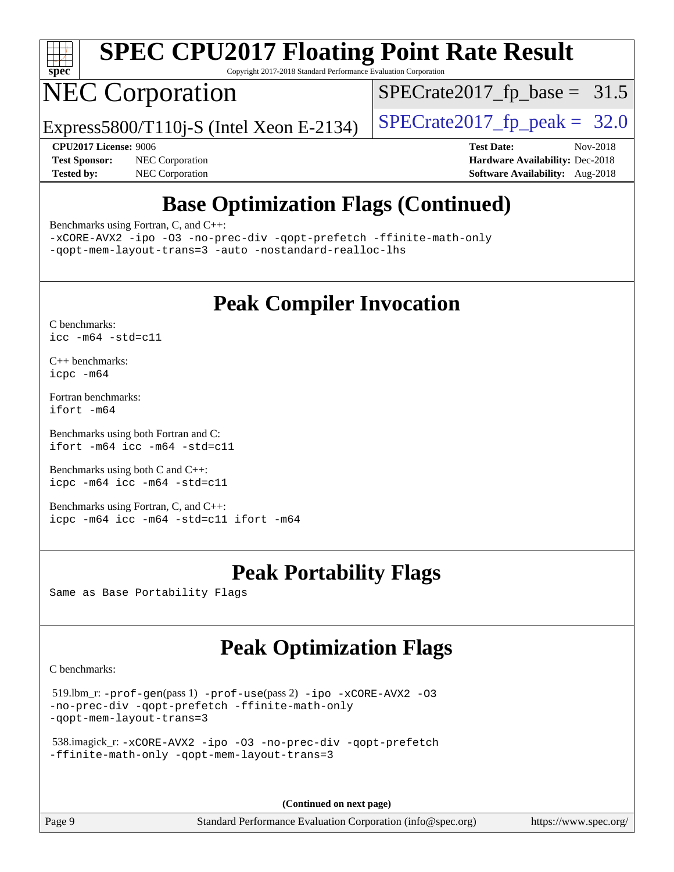

Copyright 2017-2018 Standard Performance Evaluation Corporation

## NEC Corporation

 $SPECTate2017_fp\_base = 31.5$ 

Express5800/T110j-S (Intel Xeon E-2134)  $\vert$  [SPECrate2017\\_fp\\_peak =](http://www.spec.org/auto/cpu2017/Docs/result-fields.html#SPECrate2017fppeak) 32.0

**[Test Sponsor:](http://www.spec.org/auto/cpu2017/Docs/result-fields.html#TestSponsor)** NEC Corporation **[Hardware Availability:](http://www.spec.org/auto/cpu2017/Docs/result-fields.html#HardwareAvailability)** Dec-2018 **[Tested by:](http://www.spec.org/auto/cpu2017/Docs/result-fields.html#Testedby)** NEC Corporation **[Software Availability:](http://www.spec.org/auto/cpu2017/Docs/result-fields.html#SoftwareAvailability)** Aug-2018

**[CPU2017 License:](http://www.spec.org/auto/cpu2017/Docs/result-fields.html#CPU2017License)** 9006 **[Test Date:](http://www.spec.org/auto/cpu2017/Docs/result-fields.html#TestDate)** Nov-2018

## **[Base Optimization Flags \(Continued\)](http://www.spec.org/auto/cpu2017/Docs/result-fields.html#BaseOptimizationFlags)**

[Benchmarks using Fortran, C, and C++:](http://www.spec.org/auto/cpu2017/Docs/result-fields.html#BenchmarksusingFortranCandCXX)

[-xCORE-AVX2](http://www.spec.org/cpu2017/results/res2018q4/cpu2017-20181210-10015.flags.html#user_CC_CXX_FCbase_f-xCORE-AVX2) [-ipo](http://www.spec.org/cpu2017/results/res2018q4/cpu2017-20181210-10015.flags.html#user_CC_CXX_FCbase_f-ipo) [-O3](http://www.spec.org/cpu2017/results/res2018q4/cpu2017-20181210-10015.flags.html#user_CC_CXX_FCbase_f-O3) [-no-prec-div](http://www.spec.org/cpu2017/results/res2018q4/cpu2017-20181210-10015.flags.html#user_CC_CXX_FCbase_f-no-prec-div) [-qopt-prefetch](http://www.spec.org/cpu2017/results/res2018q4/cpu2017-20181210-10015.flags.html#user_CC_CXX_FCbase_f-qopt-prefetch) [-ffinite-math-only](http://www.spec.org/cpu2017/results/res2018q4/cpu2017-20181210-10015.flags.html#user_CC_CXX_FCbase_f_finite_math_only_cb91587bd2077682c4b38af759c288ed7c732db004271a9512da14a4f8007909a5f1427ecbf1a0fb78ff2a814402c6114ac565ca162485bbcae155b5e4258871) [-qopt-mem-layout-trans=3](http://www.spec.org/cpu2017/results/res2018q4/cpu2017-20181210-10015.flags.html#user_CC_CXX_FCbase_f-qopt-mem-layout-trans_de80db37974c74b1f0e20d883f0b675c88c3b01e9d123adea9b28688d64333345fb62bc4a798493513fdb68f60282f9a726aa07f478b2f7113531aecce732043) [-auto](http://www.spec.org/cpu2017/results/res2018q4/cpu2017-20181210-10015.flags.html#user_CC_CXX_FCbase_f-auto) [-nostandard-realloc-lhs](http://www.spec.org/cpu2017/results/res2018q4/cpu2017-20181210-10015.flags.html#user_CC_CXX_FCbase_f_2003_std_realloc_82b4557e90729c0f113870c07e44d33d6f5a304b4f63d4c15d2d0f1fab99f5daaed73bdb9275d9ae411527f28b936061aa8b9c8f2d63842963b95c9dd6426b8a)

#### **[Peak Compiler Invocation](http://www.spec.org/auto/cpu2017/Docs/result-fields.html#PeakCompilerInvocation)**

[C benchmarks](http://www.spec.org/auto/cpu2017/Docs/result-fields.html#Cbenchmarks): [icc -m64 -std=c11](http://www.spec.org/cpu2017/results/res2018q4/cpu2017-20181210-10015.flags.html#user_CCpeak_intel_icc_64bit_c11_33ee0cdaae7deeeab2a9725423ba97205ce30f63b9926c2519791662299b76a0318f32ddfffdc46587804de3178b4f9328c46fa7c2b0cd779d7a61945c91cd35)

[C++ benchmarks:](http://www.spec.org/auto/cpu2017/Docs/result-fields.html#CXXbenchmarks) [icpc -m64](http://www.spec.org/cpu2017/results/res2018q4/cpu2017-20181210-10015.flags.html#user_CXXpeak_intel_icpc_64bit_4ecb2543ae3f1412ef961e0650ca070fec7b7afdcd6ed48761b84423119d1bf6bdf5cad15b44d48e7256388bc77273b966e5eb805aefd121eb22e9299b2ec9d9)

[Fortran benchmarks](http://www.spec.org/auto/cpu2017/Docs/result-fields.html#Fortranbenchmarks): [ifort -m64](http://www.spec.org/cpu2017/results/res2018q4/cpu2017-20181210-10015.flags.html#user_FCpeak_intel_ifort_64bit_24f2bb282fbaeffd6157abe4f878425411749daecae9a33200eee2bee2fe76f3b89351d69a8130dd5949958ce389cf37ff59a95e7a40d588e8d3a57e0c3fd751)

[Benchmarks using both Fortran and C](http://www.spec.org/auto/cpu2017/Docs/result-fields.html#BenchmarksusingbothFortranandC): [ifort -m64](http://www.spec.org/cpu2017/results/res2018q4/cpu2017-20181210-10015.flags.html#user_CC_FCpeak_intel_ifort_64bit_24f2bb282fbaeffd6157abe4f878425411749daecae9a33200eee2bee2fe76f3b89351d69a8130dd5949958ce389cf37ff59a95e7a40d588e8d3a57e0c3fd751) [icc -m64 -std=c11](http://www.spec.org/cpu2017/results/res2018q4/cpu2017-20181210-10015.flags.html#user_CC_FCpeak_intel_icc_64bit_c11_33ee0cdaae7deeeab2a9725423ba97205ce30f63b9926c2519791662299b76a0318f32ddfffdc46587804de3178b4f9328c46fa7c2b0cd779d7a61945c91cd35)

[Benchmarks using both C and C++](http://www.spec.org/auto/cpu2017/Docs/result-fields.html#BenchmarksusingbothCandCXX): [icpc -m64](http://www.spec.org/cpu2017/results/res2018q4/cpu2017-20181210-10015.flags.html#user_CC_CXXpeak_intel_icpc_64bit_4ecb2543ae3f1412ef961e0650ca070fec7b7afdcd6ed48761b84423119d1bf6bdf5cad15b44d48e7256388bc77273b966e5eb805aefd121eb22e9299b2ec9d9) [icc -m64 -std=c11](http://www.spec.org/cpu2017/results/res2018q4/cpu2017-20181210-10015.flags.html#user_CC_CXXpeak_intel_icc_64bit_c11_33ee0cdaae7deeeab2a9725423ba97205ce30f63b9926c2519791662299b76a0318f32ddfffdc46587804de3178b4f9328c46fa7c2b0cd779d7a61945c91cd35)

[Benchmarks using Fortran, C, and C++:](http://www.spec.org/auto/cpu2017/Docs/result-fields.html#BenchmarksusingFortranCandCXX) [icpc -m64](http://www.spec.org/cpu2017/results/res2018q4/cpu2017-20181210-10015.flags.html#user_CC_CXX_FCpeak_intel_icpc_64bit_4ecb2543ae3f1412ef961e0650ca070fec7b7afdcd6ed48761b84423119d1bf6bdf5cad15b44d48e7256388bc77273b966e5eb805aefd121eb22e9299b2ec9d9) [icc -m64 -std=c11](http://www.spec.org/cpu2017/results/res2018q4/cpu2017-20181210-10015.flags.html#user_CC_CXX_FCpeak_intel_icc_64bit_c11_33ee0cdaae7deeeab2a9725423ba97205ce30f63b9926c2519791662299b76a0318f32ddfffdc46587804de3178b4f9328c46fa7c2b0cd779d7a61945c91cd35) [ifort -m64](http://www.spec.org/cpu2017/results/res2018q4/cpu2017-20181210-10015.flags.html#user_CC_CXX_FCpeak_intel_ifort_64bit_24f2bb282fbaeffd6157abe4f878425411749daecae9a33200eee2bee2fe76f3b89351d69a8130dd5949958ce389cf37ff59a95e7a40d588e8d3a57e0c3fd751)

#### **[Peak Portability Flags](http://www.spec.org/auto/cpu2017/Docs/result-fields.html#PeakPortabilityFlags)**

Same as Base Portability Flags

### **[Peak Optimization Flags](http://www.spec.org/auto/cpu2017/Docs/result-fields.html#PeakOptimizationFlags)**

[C benchmarks](http://www.spec.org/auto/cpu2017/Docs/result-fields.html#Cbenchmarks):

```
 519.lbm_r: -prof-gen(pass 1) -prof-use(pass 2) -ipo -xCORE-AVX2 -O3
-no-prec-div -qopt-prefetch -ffinite-math-only
-qopt-mem-layout-trans=3
```

```
 538.imagick_r: -xCORE-AVX2 -ipo -O3 -no-prec-div -qopt-prefetch
-ffinite-math-only -qopt-mem-layout-trans=3
```
**(Continued on next page)**

Page 9 Standard Performance Evaluation Corporation [\(info@spec.org\)](mailto:info@spec.org) <https://www.spec.org/>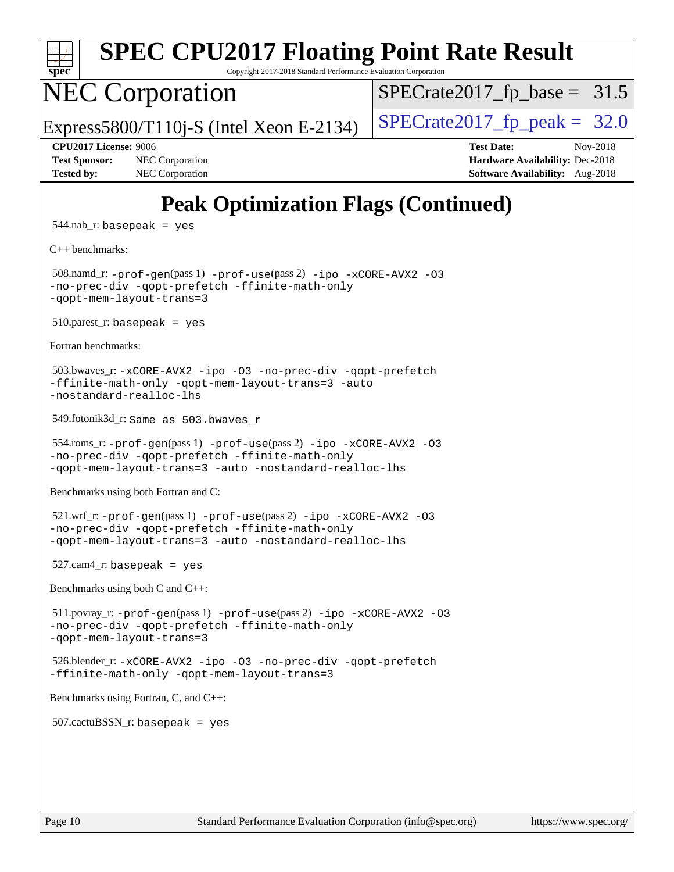

Copyright 2017-2018 Standard Performance Evaluation Corporation

## NEC Corporation

 $SPECrate2017_fp\_base = 31.5$ 

Express5800/T110j-S (Intel Xeon E-2134) [SPECrate2017\\_fp\\_peak =](http://www.spec.org/auto/cpu2017/Docs/result-fields.html#SPECrate2017fppeak)  $32.0$ 

**[Test Sponsor:](http://www.spec.org/auto/cpu2017/Docs/result-fields.html#TestSponsor)** NEC Corporation **[Hardware Availability:](http://www.spec.org/auto/cpu2017/Docs/result-fields.html#HardwareAvailability)** Dec-2018 **[Tested by:](http://www.spec.org/auto/cpu2017/Docs/result-fields.html#Testedby)** NEC Corporation **[Software Availability:](http://www.spec.org/auto/cpu2017/Docs/result-fields.html#SoftwareAvailability)** Aug-2018

**[CPU2017 License:](http://www.spec.org/auto/cpu2017/Docs/result-fields.html#CPU2017License)** 9006 **[Test Date:](http://www.spec.org/auto/cpu2017/Docs/result-fields.html#TestDate)** Nov-2018

## **[Peak Optimization Flags \(Continued\)](http://www.spec.org/auto/cpu2017/Docs/result-fields.html#PeakOptimizationFlags)**

 $544$ .nab\_r: basepeak = yes

[C++ benchmarks:](http://www.spec.org/auto/cpu2017/Docs/result-fields.html#CXXbenchmarks)

 508.namd\_r: [-prof-gen](http://www.spec.org/cpu2017/results/res2018q4/cpu2017-20181210-10015.flags.html#user_peakPASS1_CXXFLAGSPASS1_LDFLAGS508_namd_r_prof_gen_5aa4926d6013ddb2a31985c654b3eb18169fc0c6952a63635c234f711e6e63dd76e94ad52365559451ec499a2cdb89e4dc58ba4c67ef54ca681ffbe1461d6b36)(pass 1) [-prof-use](http://www.spec.org/cpu2017/results/res2018q4/cpu2017-20181210-10015.flags.html#user_peakPASS2_CXXFLAGSPASS2_LDFLAGS508_namd_r_prof_use_1a21ceae95f36a2b53c25747139a6c16ca95bd9def2a207b4f0849963b97e94f5260e30a0c64f4bb623698870e679ca08317ef8150905d41bd88c6f78df73f19)(pass 2) [-ipo](http://www.spec.org/cpu2017/results/res2018q4/cpu2017-20181210-10015.flags.html#user_peakPASS1_CXXOPTIMIZEPASS2_CXXOPTIMIZE508_namd_r_f-ipo) [-xCORE-AVX2](http://www.spec.org/cpu2017/results/res2018q4/cpu2017-20181210-10015.flags.html#user_peakPASS2_CXXOPTIMIZE508_namd_r_f-xCORE-AVX2) [-O3](http://www.spec.org/cpu2017/results/res2018q4/cpu2017-20181210-10015.flags.html#user_peakPASS1_CXXOPTIMIZEPASS2_CXXOPTIMIZE508_namd_r_f-O3) [-no-prec-div](http://www.spec.org/cpu2017/results/res2018q4/cpu2017-20181210-10015.flags.html#user_peakPASS1_CXXOPTIMIZEPASS2_CXXOPTIMIZE508_namd_r_f-no-prec-div) [-qopt-prefetch](http://www.spec.org/cpu2017/results/res2018q4/cpu2017-20181210-10015.flags.html#user_peakPASS1_CXXOPTIMIZEPASS2_CXXOPTIMIZE508_namd_r_f-qopt-prefetch) [-ffinite-math-only](http://www.spec.org/cpu2017/results/res2018q4/cpu2017-20181210-10015.flags.html#user_peakPASS1_CXXOPTIMIZEPASS2_CXXOPTIMIZE508_namd_r_f_finite_math_only_cb91587bd2077682c4b38af759c288ed7c732db004271a9512da14a4f8007909a5f1427ecbf1a0fb78ff2a814402c6114ac565ca162485bbcae155b5e4258871) [-qopt-mem-layout-trans=3](http://www.spec.org/cpu2017/results/res2018q4/cpu2017-20181210-10015.flags.html#user_peakPASS1_CXXOPTIMIZEPASS2_CXXOPTIMIZE508_namd_r_f-qopt-mem-layout-trans_de80db37974c74b1f0e20d883f0b675c88c3b01e9d123adea9b28688d64333345fb62bc4a798493513fdb68f60282f9a726aa07f478b2f7113531aecce732043)

 $510.parest_r:$  basepeak = yes

[Fortran benchmarks](http://www.spec.org/auto/cpu2017/Docs/result-fields.html#Fortranbenchmarks):

```
 503.bwaves_r: -xCORE-AVX2 -ipo -O3 -no-prec-div -qopt-prefetch
-ffinite-math-only -qopt-mem-layout-trans=3 -auto
-nostandard-realloc-lhs
```
549.fotonik3d\_r: Same as 503.bwaves\_r

```
 554.roms_r: -prof-gen(pass 1) -prof-use(pass 2) -ipo -xCORE-AVX2 -O3
-no-prec-div -qopt-prefetch -ffinite-math-only
-qopt-mem-layout-trans=3 -auto -nostandard-realloc-lhs
```
[Benchmarks using both Fortran and C](http://www.spec.org/auto/cpu2017/Docs/result-fields.html#BenchmarksusingbothFortranandC):

```
521.\text{wrf}_r: -\text{prof}-\text{gen(pass 1)} -\text{prof}-\text{use(pass 2)} -\text{ipo} -\text{xCORE}-\text{AVX2} -03-no-prec-div -qopt-prefetch -ffinite-math-only
-qopt-mem-layout-trans=3 -auto -nostandard-realloc-lhs
```
527.cam4\_r: basepeak = yes

[Benchmarks using both C and C++](http://www.spec.org/auto/cpu2017/Docs/result-fields.html#BenchmarksusingbothCandCXX):

```
511.povray_r: -prof-use-ipo-xCORE-AVX2-O3-no-prec-div -qopt-prefetch -ffinite-math-only
-qopt-mem-layout-trans=3
```
 526.blender\_r: [-xCORE-AVX2](http://www.spec.org/cpu2017/results/res2018q4/cpu2017-20181210-10015.flags.html#user_peakCOPTIMIZECXXOPTIMIZE526_blender_r_f-xCORE-AVX2) [-ipo](http://www.spec.org/cpu2017/results/res2018q4/cpu2017-20181210-10015.flags.html#user_peakCOPTIMIZECXXOPTIMIZE526_blender_r_f-ipo) [-O3](http://www.spec.org/cpu2017/results/res2018q4/cpu2017-20181210-10015.flags.html#user_peakCOPTIMIZECXXOPTIMIZE526_blender_r_f-O3) [-no-prec-div](http://www.spec.org/cpu2017/results/res2018q4/cpu2017-20181210-10015.flags.html#user_peakCOPTIMIZECXXOPTIMIZE526_blender_r_f-no-prec-div) [-qopt-prefetch](http://www.spec.org/cpu2017/results/res2018q4/cpu2017-20181210-10015.flags.html#user_peakCOPTIMIZECXXOPTIMIZE526_blender_r_f-qopt-prefetch) [-ffinite-math-only](http://www.spec.org/cpu2017/results/res2018q4/cpu2017-20181210-10015.flags.html#user_peakCOPTIMIZECXXOPTIMIZE526_blender_r_f_finite_math_only_cb91587bd2077682c4b38af759c288ed7c732db004271a9512da14a4f8007909a5f1427ecbf1a0fb78ff2a814402c6114ac565ca162485bbcae155b5e4258871) [-qopt-mem-layout-trans=3](http://www.spec.org/cpu2017/results/res2018q4/cpu2017-20181210-10015.flags.html#user_peakCOPTIMIZECXXOPTIMIZE526_blender_r_f-qopt-mem-layout-trans_de80db37974c74b1f0e20d883f0b675c88c3b01e9d123adea9b28688d64333345fb62bc4a798493513fdb68f60282f9a726aa07f478b2f7113531aecce732043)

[Benchmarks using Fortran, C, and C++:](http://www.spec.org/auto/cpu2017/Docs/result-fields.html#BenchmarksusingFortranCandCXX)

 $507$ .cactu $BSSN$  r: basepeak = yes